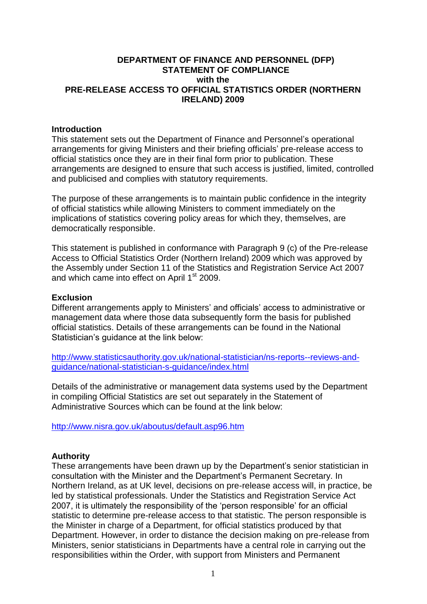## **DEPARTMENT OF FINANCE AND PERSONNEL (DFP) STATEMENT OF COMPLIANCE with the PRE-RELEASE ACCESS TO OFFICIAL STATISTICS ORDER (NORTHERN IRELAND) 2009**

### **Introduction**

This statement sets out the Department of Finance and Personnel's operational arrangements for giving Ministers and their briefing officials' pre-release access to official statistics once they are in their final form prior to publication. These arrangements are designed to ensure that such access is justified, limited, controlled and publicised and complies with statutory requirements.

The purpose of these arrangements is to maintain public confidence in the integrity of official statistics while allowing Ministers to comment immediately on the implications of statistics covering policy areas for which they, themselves, are democratically responsible.

This statement is published in conformance with Paragraph 9 (c) of the Pre-release Access to Official Statistics Order (Northern Ireland) 2009 which was approved by the Assembly under Section 11 of the Statistics and Registration Service Act 2007 and which came into effect on April 1<sup>st</sup> 2009.

### **Exclusion**

Different arrangements apply to Ministers' and officials' access to administrative or management data where those data subsequently form the basis for published official statistics. Details of these arrangements can be found in the National Statistician's guidance at the link below:

[http://www.statisticsauthority.gov.uk/national-statistician/ns-reports--reviews-and](http://www.statisticsauthority.gov.uk/national-statistician/ns-reports--reviews-and-guidance/national-statistician-s-guidance/index.html)[guidance/national-statistician-s-guidance/index.html](http://www.statisticsauthority.gov.uk/national-statistician/ns-reports--reviews-and-guidance/national-statistician-s-guidance/index.html)

Details of the administrative or management data systems used by the Department in compiling Official Statistics are set out separately in the Statement of Administrative Sources which can be found at the link below:

<http://www.nisra.gov.uk/aboutus/default.asp96.htm>

## **Authority**

These arrangements have been drawn up by the Department's senior statistician in consultation with the Minister and the Department's Permanent Secretary. In Northern Ireland, as at UK level, decisions on pre-release access will, in practice, be led by statistical professionals. Under the Statistics and Registration Service Act 2007, it is ultimately the responsibility of the 'person responsible' for an official statistic to determine pre-release access to that statistic. The person responsible is the Minister in charge of a Department, for official statistics produced by that Department. However, in order to distance the decision making on pre-release from Ministers, senior statisticians in Departments have a central role in carrying out the responsibilities within the Order, with support from Ministers and Permanent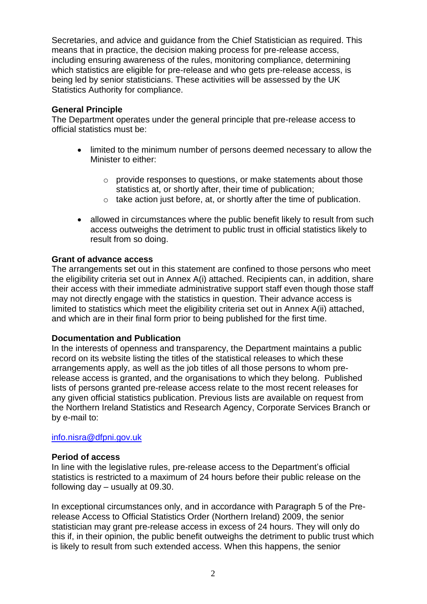Secretaries, and advice and guidance from the Chief Statistician as required. This means that in practice, the decision making process for pre-release access, including ensuring awareness of the rules, monitoring compliance, determining which statistics are eligible for pre-release and who gets pre-release access, is being led by senior statisticians. These activities will be assessed by the UK Statistics Authority for compliance.

# **General Principle**

The Department operates under the general principle that pre-release access to official statistics must be:

- limited to the minimum number of persons deemed necessary to allow the Minister to either:
	- o provide responses to questions, or make statements about those statistics at, or shortly after, their time of publication;
	- o take action just before, at, or shortly after the time of publication.
- allowed in circumstances where the public benefit likely to result from such access outweighs the detriment to public trust in official statistics likely to result from so doing.

## **Grant of advance access**

The arrangements set out in this statement are confined to those persons who meet the eligibility criteria set out in Annex A(i) attached. Recipients can, in addition, share their access with their immediate administrative support staff even though those staff may not directly engage with the statistics in question. Their advance access is limited to statistics which meet the eligibility criteria set out in Annex A(ii) attached, and which are in their final form prior to being published for the first time.

## **Documentation and Publication**

In the interests of openness and transparency, the Department maintains a public record on its website listing the titles of the statistical releases to which these arrangements apply, as well as the job titles of all those persons to whom prerelease access is granted, and the organisations to which they belong. Published lists of persons granted pre-release access relate to the most recent releases for any given official statistics publication. Previous lists are available on request from the Northern Ireland Statistics and Research Agency, Corporate Services Branch or by e-mail to:

#### [info.nisra@dfpni.gov.uk](mailto:info.nisra@dfpni.gov.uk)

#### **Period of access**

In line with the legislative rules, pre-release access to the Department's official statistics is restricted to a maximum of 24 hours before their public release on the following day – usually at 09.30.

In exceptional circumstances only, and in accordance with Paragraph 5 of the Prerelease Access to Official Statistics Order (Northern Ireland) 2009, the senior statistician may grant pre-release access in excess of 24 hours. They will only do this if, in their opinion, the public benefit outweighs the detriment to public trust which is likely to result from such extended access. When this happens, the senior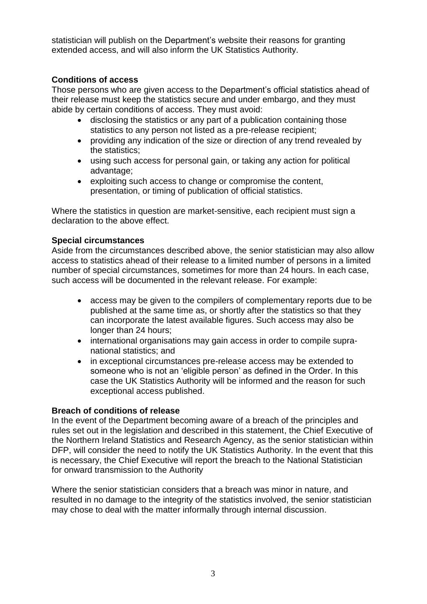statistician will publish on the Department's website their reasons for granting extended access, and will also inform the UK Statistics Authority.

# **Conditions of access**

Those persons who are given access to the Department's official statistics ahead of their release must keep the statistics secure and under embargo, and they must abide by certain conditions of access. They must avoid:

- disclosing the statistics or any part of a publication containing those statistics to any person not listed as a pre-release recipient;
- providing any indication of the size or direction of any trend revealed by the statistics;
- using such access for personal gain, or taking any action for political advantage;
- exploiting such access to change or compromise the content, presentation, or timing of publication of official statistics.

Where the statistics in question are market-sensitive, each recipient must sign a declaration to the above effect.

## **Special circumstances**

Aside from the circumstances described above, the senior statistician may also allow access to statistics ahead of their release to a limited number of persons in a limited number of special circumstances, sometimes for more than 24 hours. In each case, such access will be documented in the relevant release. For example:

- access may be given to the compilers of complementary reports due to be published at the same time as, or shortly after the statistics so that they can incorporate the latest available figures. Such access may also be longer than 24 hours;
- international organisations may gain access in order to compile supranational statistics; and
- in exceptional circumstances pre-release access may be extended to someone who is not an 'eligible person' as defined in the Order. In this case the UK Statistics Authority will be informed and the reason for such exceptional access published.

## **Breach of conditions of release**

In the event of the Department becoming aware of a breach of the principles and rules set out in the legislation and described in this statement, the Chief Executive of the Northern Ireland Statistics and Research Agency, as the senior statistician within DFP, will consider the need to notify the UK Statistics Authority. In the event that this is necessary, the Chief Executive will report the breach to the National Statistician for onward transmission to the Authority

Where the senior statistician considers that a breach was minor in nature, and resulted in no damage to the integrity of the statistics involved, the senior statistician may chose to deal with the matter informally through internal discussion.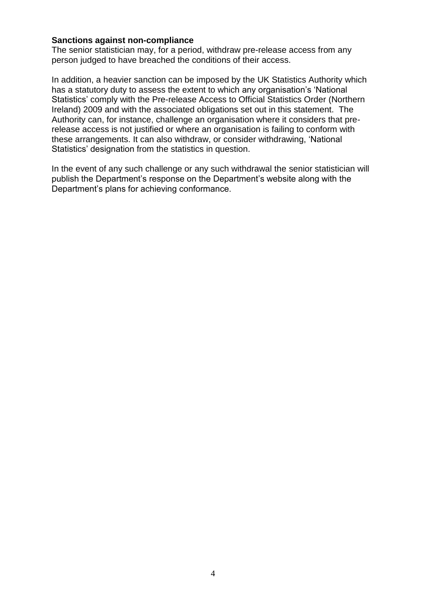### **Sanctions against non-compliance**

The senior statistician may, for a period, withdraw pre-release access from any person judged to have breached the conditions of their access.

In addition, a heavier sanction can be imposed by the UK Statistics Authority which has a statutory duty to assess the extent to which any organisation's 'National Statistics' comply with the Pre-release Access to Official Statistics Order (Northern Ireland) 2009 and with the associated obligations set out in this statement. The Authority can, for instance, challenge an organisation where it considers that prerelease access is not justified or where an organisation is failing to conform with these arrangements. It can also withdraw, or consider withdrawing, 'National Statistics' designation from the statistics in question.

In the event of any such challenge or any such withdrawal the senior statistician will publish the Department's response on the Department's website along with the Department's plans for achieving conformance.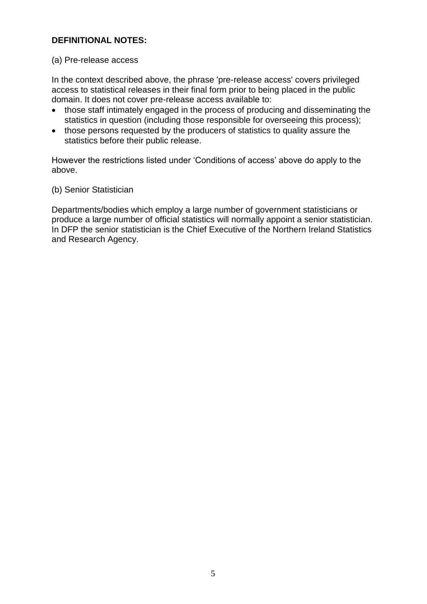# **DEFINITIONAL NOTES:**

#### (a) Pre-release access

In the context described above, the phrase 'pre-release access' covers privileged access to statistical releases in their final form prior to being placed in the public domain. It does not cover pre-release access available to:

- those staff intimately engaged in the process of producing and disseminating the statistics in question (including those responsible for overseeing this process);
- those persons requested by the producers of statistics to quality assure the statistics before their public release.

However the restrictions listed under 'Conditions of access' above do apply to the above.

### (b) Senior Statistician

Departments/bodies which employ a large number of government statisticians or produce a large number of official statistics will normally appoint a senior statistician. In DFP the senior statistician is the Chief Executive of the Northern Ireland Statistics and Research Agency.